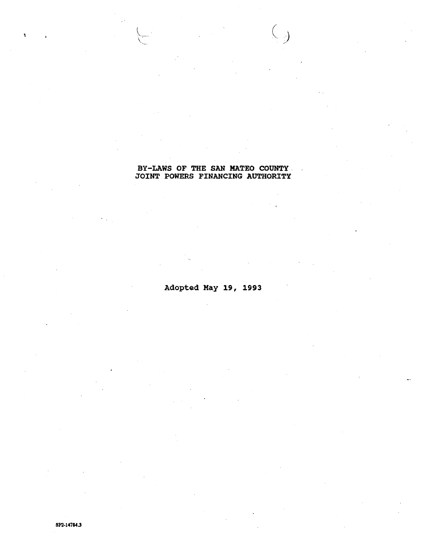## BY-LAWS OF THE SAN MATEO COUNTY. JOINT POWERS FINANCING AUTHORITY

 $\leftarrow$ 

 $\overline{\mathcal{C}}$ 

Adopted May 19, 1993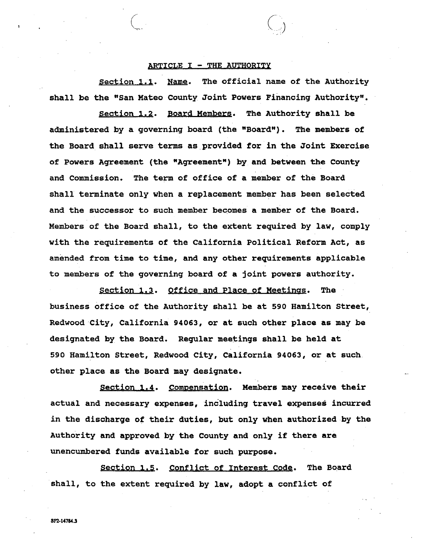## ARTICLE  $I$  - THE AUTHORITY

*(* ..\_...\_\_ *(* 

., .. *.. ·)* 

Section 1.1. Name. The official name of the Authority shall be the "San Mateo county Joint Powers Financing Authority".

section 1.2. Board Members. The Authority shall be administered by a governing board (the "Board"). The members of the Board shall serve terms as provided for in the Joint Exercise of Powers Agreement (the "Agreement") by and between the County and commission. The term of office of a member of the Board shall terminate only when a replacement member has been selected and the successor to such member becomes a member of the Board. Members of the Board shall, to the extent required by law, comply with the requirements of the California Political Reform Act, as amended from time to time, and any other requirements applicable to members of the governing board of a joint powers authority.

section 1,3. Office and Place of Meetings. The business office of the Authority shall be at 590 Hamilton Street, Redwood City, California 94063, or at such other place as may be designated by the Board. Regular meetings shall be held at 590 Hamilton Street, Redwood City, California 94063, or at such other place as the Board may designate.

Section **1,4.** Compensation. Members may receive their actual and necessary expenses, including travel expenses incurred in the discharge of their duties, but only when authorized by the Authority and approved by the County and only if there are unencumbered funds available for such purpose.

Section 1.5. Conflict of Interest Code. The Board shall, to the extent required by law, adopt a conflict of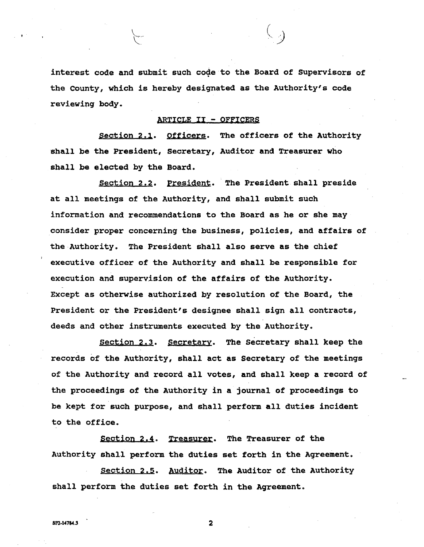interest code and submit such code to the Board of Supervisors of the County, which is hereby designated as the Authority's code reviewing body.

*()* 

## ARTICLE II - OFFICERS

Section 2.1. Officers. The officers of the Authority shall be the President, Secretary, Auditor and Treasurer who shall be elected by the Board.

Section 2.2. President. The President shall preside at all meetings of the Authority, and shall submit such information and recommendations to the Board as he or she may consider proper concerning the business, policies, and affairs of the Authority. The President shall also serve as the chief executive officer of the Authority and shall be responsible for execution and supervision of the affairs of the Authority. Except as otherwise authorized by resolution of the Board, the President or the President's designee shall sign all contracts, deeds and other instruments executed by the Authority.

Section 2.3. Secretary. The Secretary shall keep the records of the Authority, shall act as Secretary of the meetings of the Authority and record all votes, and shall keep a record of the proceedings of the Authority in a journal of proceedings to be kept for such purpose, and shall perform all duties incident to the office.

Section **2.4.** Treasurer. The Treasurer of the Authority shall perform the duties set forth in the Agreement.

Section 2.5. Auditor. The Auditor of the Authority shall perform the duties set forth in the Agreement.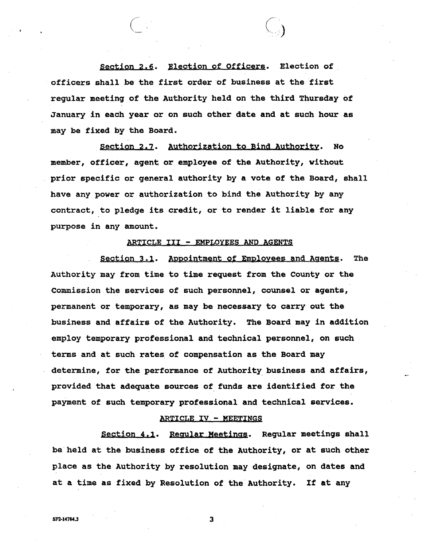Section 2.6. Election of Officers. Election of officers shall be the first order of business at the first regular meeting of the Authority held on the third Thursday of January in each year or on such other date and at such hour as may be fixed by the Board.

 $\bigg($ 

section 2,2. Authorization to Bind Authority. No member, officer, agent or employee of the Authority, without prior specific or general authority by a vote of the Board, shall have any power or authorization to bind the Authority by any contract, to pledge its credit, or to render it liable for any purpose in any amount.

## ARTICLE III - EMPLOYEES AND AGENTS

section 3.1. Appointment of Employees and Agents. The Authority may from time to time request from the County or the commission the services of such personnel, counsel or agents, permanent or temporary, **as may** be necessary to carry out the business and affairs of the Authority. The Board may in addition employ temporary professional and technical personnel, on such terms and at such rates of compensation as the Board may determine, for the performance of Authority business and affairs, provided that adequate sources of funds are identified for the payment of such temporary professional and technical services.

#### ARTICLE IV - MEETINGS

Section 4,1. Regular Meetings. Regular meetings shall be held at the business office of the Authority, or at such other place as the Authority by resolution may designate, on dates and at a time as fixed by Resolution of the Authority. If at any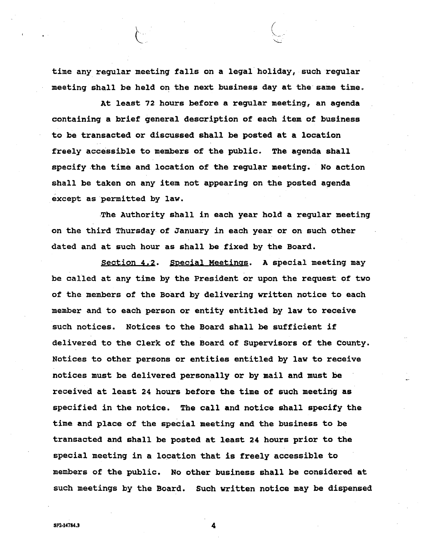time any regular meeting falls on a legal holiday, such regular meeting shall be held on the next business day at the same time.

At least 72 hours before a regular meeting, an agenda containing a brief general description of each item of business to be transacted or discussed shall be posted **at a** location freely accessible to members of the public. The agenda shall specify the time and location of the regular meeting. No action shall be taken on any item not appearing on the posted agenda except as permitted by law.

-The Authority shall in each year hold a regular meeting on the third Thursday of January in each year or on such other dated and at such hour as shall be fixed by the Board.

Section 4,2. Special Meetings. A special meeting may be called at any time by the President or upon the request of two of the members of the Board by delivering written notice to each member and to each person or entity entitled by law to receive such notices. Notices to the Board shall be sufficient if delivered to the Clerk of the Board of supervisors of the County. Notices to other persons or entities entitled by law to receive notices must be delivered personally or by mail and must be received at least 24 hours before the time of such meeting as specified in the notice. The call and notice shall specify the time and place of the special meeting and the business to be transacted and shall be posted at least 24 hours prior to the special meeting in a location that is freely accessible to members of the public. No other business shall be considered at such meetings by the Board. Such written notice may be dispensed

SP2-14784.3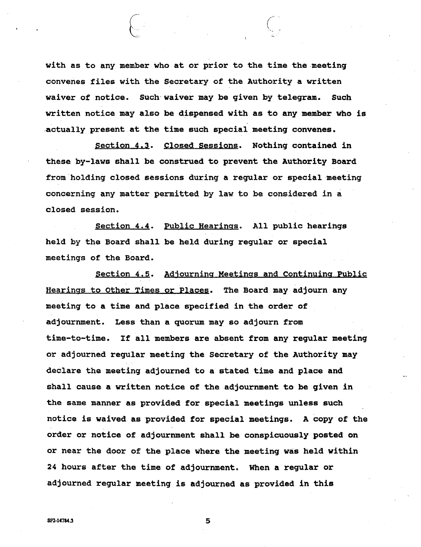with as to any member who at or prior to the time the meeting convenes files with the Secretary of the Authority a written waiver of notice. Such·waiver may be given by telegram. Such written notice may also be dispensed with as to any member who is .actually present at the time such special meeting convenes.

 $\begin{pmatrix} 1 & 1 \\ 1 & 1 \end{pmatrix}$ 

Section 4,3. Closed sessions. Nothing contained in these by-laws shall be construed to prevent the Authority **Board**  from holding closed sessions during a regular or special meeting concerning any matter permitted by law to be considered in a closed session.

Section **4.4.** Public Hearings. All public hearings held by the Board shall be held during regular or special meetings of the Board.

section 4.5. Adjourning Meetings and continuing Public Hearings to other Times or Places. The Board may adjourn any meeting to a time and place specified in the order of adjournment. Less than a quorum may so adjourn from time-to-time. If all members are absent from any regular meeting or adjourned regular meeting the secretary of the Authority may declare the meeting adjourned to a stated time and place and shall cause a written notice of the adjournment to be given in the same manner as provided for special meetings unless such notice is waived as provided for special meetings. A copy of the order or notice of adjournment shall be conspicuously posted on or near the door of the place where the meeting was held within 24 hours after the time of adjournment. When a regular or adjourned regular meeting is adjourned as provided in this

5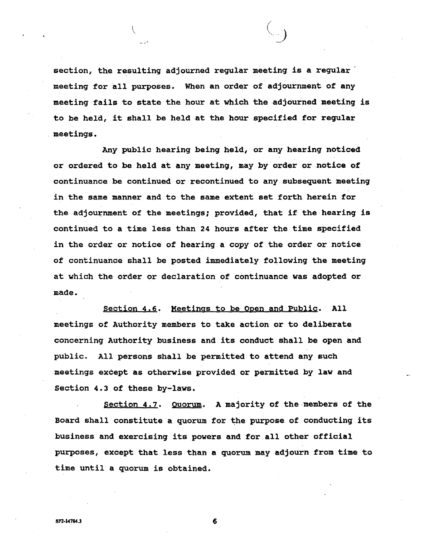section, the resulting adjourned regular meeting is a regular meeting for all purposes. When an order of adjournment of any meeting fails to state the hour at which the adjourned meeting is to be held, it shall be held at the hour specified for regular . meetings.

 $\left(\begin{array}{ccc} \zeta & \zeta \end{array}\right)$ 

Any public hearing being held, or any hearing noticed or ordered to be held at any meeting, may by order or notice of continuance be continued or recontinued to any subsequent meeting in the same manner and to the same extent set forth herein for the adjournment of the meetings; provided, that if the hearing is continued to a time less than 24 hours after the time specified in the order or notice of hearing a copy of the order or notice of continuance shall be posted immediately following the meeting at which the order or declaration of continuance was adopted or made.

section 4,6. Meetings to be Open and Public. All meetings of Authority members to take action or to deliberate concerning Authority business and its conduct shall be open and public. All persons shall be permitted to attend any such meetings except as otherwise provided or permitted by law and Section 4.3 of these by-laws.

Section 4.7. Quorum. A majority of the members of the Board shall constitute a quorum for the purpose of conducting its business and exercising its powers and for all other official purposes, except that less than a quorum may adjourn from time to time until a quorum is obtained.

 $S$ P2-14784.3 6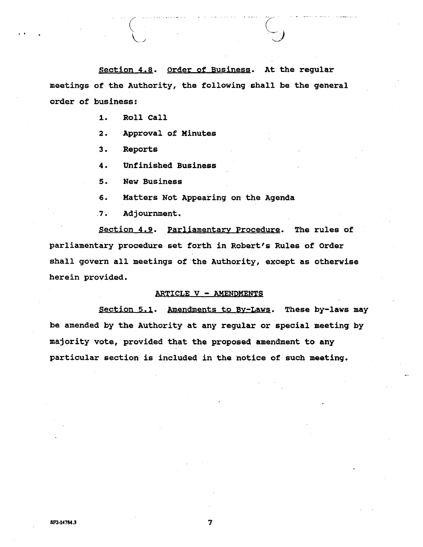Section 4.8. Order of Business. At the regular meetings of the Authority, the following shall be the general order of business:

1. Roll Call

**2.** Approval of Minutes

**3.** Reports

**4.** Unfinished Business

**s.** New Business

**6.** Matters Not Appearing on the Agenda

.7. Adjournment.

Section **4.9.** Parliamentary Procedure. The rules of parliamentary procedure set forth in Robert's Rules of Order shall govern all meetings of the Authority, except as otherwise herein provided.

#### ARTICLE V - AMENDMENTS

Section 5.1. Amendments to By-Laws. These by-laws may be amended by the Authority at any regular or special meeting by majority vote, provided that the proposed amendment to any particular section is included in the notice of such meeting.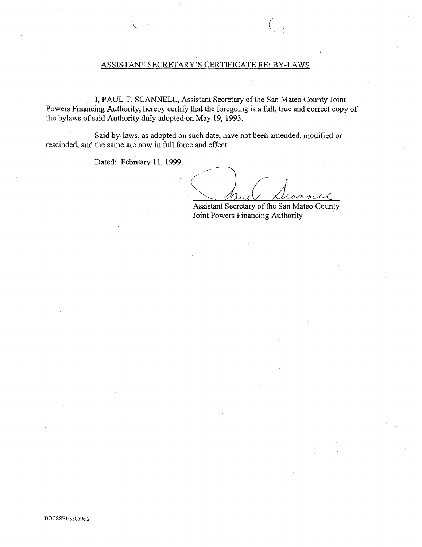## ASSISTANT SECRETARY'S CERTIFICATE RE: BY-LAWS

I, PAUL T. SCANNELL, Assistant Secretary of the San Mateo County Joint Powers Financing Authority, hereby certify that the foregoing is a full, true and correct copy of the bylaws of said Authority duly adopted on May 19, 1993.

Said by-laws, as adopted on such date, have not been amended, modified or rescinded, and the same are now in full force and effect.

Dated: February 11, 1999.

*() Scannel* 

*(* 

Assistant Secretary of the San Mateo County Joint Powers Financing Authority